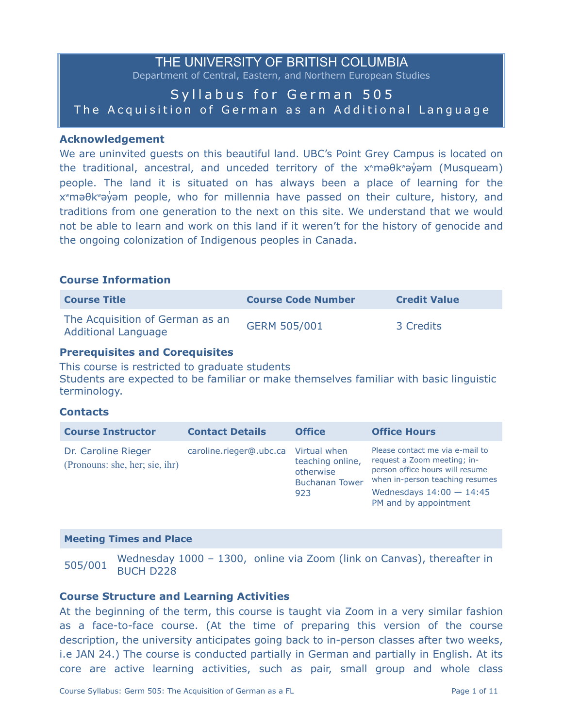# THE UNIVERSITY OF BRITISH COLUMBIA Department of Central, Eastern, and Northern European Studies Syllabus for German 505 The Acquisition of German as an Additional Language

#### **Acknowledgement**

We are uninvited guests on this beautiful land. UBC's Point Grey Campus is located on the traditional, ancestral, and unceded territory of the x<sup>w</sup>məθkwəγ m (Musqueam) people. The land it is situated on has always been a place of learning for the x<sup>w</sup>maθkwayam people, who for millennia have passed on their culture, history, and traditions from one generation to the next on this site. We understand that we would not be able to learn and work on this land if it weren't for the history of genocide and the ongoing colonization of Indigenous peoples in Canada.

#### **Course Information**

| <b>Course Title</b>                                           | <b>Course Code Number</b> | <b>Credit Value</b> |
|---------------------------------------------------------------|---------------------------|---------------------|
| The Acquisition of German as an<br><b>Additional Language</b> | <b>GERM 505/001</b>       | 3 Credits           |

#### **Prerequisites and Corequisites**

This course is restricted to graduate students Students are expected to be familiar or make themselves familiar with basic linguistic terminology.

## **Contacts**

| <b>Course Instructor</b>                              | <b>Contact Details</b>               | <b>Office</b>                                                 | <b>Office Hours</b>                                                                                                                                                                         |
|-------------------------------------------------------|--------------------------------------|---------------------------------------------------------------|---------------------------------------------------------------------------------------------------------------------------------------------------------------------------------------------|
| Dr. Caroline Rieger<br>(Pronouns: she, her; sie, ihr) | caroline.rieger@.ubc.ca Virtual when | teaching online,<br>otherwise<br><b>Buchanan Tower</b><br>923 | Please contact me via e-mail to<br>request a Zoom meeting; in-<br>person office hours will resume<br>when in-person teaching resumes<br>Wednesdays $14:00 - 14:45$<br>PM and by appointment |

#### **Meeting Times and Place**

505/001 Wednesday 1000 – 1300, online via Zoom (link on Canvas), thereafter in BUCH D228

#### **Course Structure and Learning Activities**

At the beginning of the term, this course is taught via Zoom in a very similar fashion as a face-to-face course. (At the time of preparing this version of the course description, the university anticipates going back to in-person classes after two weeks, i.e JAN 24.) The course is conducted partially in German and partially in English. At its core are active learning activities, such as pair, small group and whole class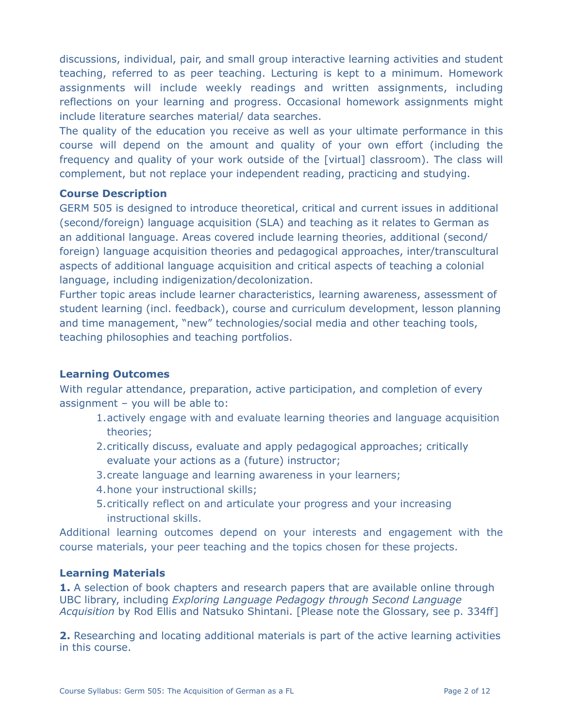discussions, individual, pair, and small group interactive learning activities and student teaching, referred to as peer teaching. Lecturing is kept to a minimum. Homework assignments will include weekly readings and written assignments, including reflections on your learning and progress. Occasional homework assignments might include literature searches material/ data searches.

The quality of the education you receive as well as your ultimate performance in this course will depend on the amount and quality of your own effort (including the frequency and quality of your work outside of the [virtual] classroom). The class will complement, but not replace your independent reading, practicing and studying.

# **Course Description**

GERM 505 is designed to introduce theoretical, critical and current issues in additional (second/foreign) language acquisition (SLA) and teaching as it relates to German as an additional language. Areas covered include learning theories, additional (second/ foreign) language acquisition theories and pedagogical approaches, inter/transcultural aspects of additional language acquisition and critical aspects of teaching a colonial language, including indigenization/decolonization.

Further topic areas include learner characteristics, learning awareness, assessment of student learning (incl. feedback), course and curriculum development, lesson planning and time management, "new" technologies/social media and other teaching tools, teaching philosophies and teaching portfolios.

# **Learning Outcomes**

With regular attendance, preparation, active participation, and completion of every assignment – you will be able to:

- 1.actively engage with and evaluate learning theories and language acquisition theories;
- 2.critically discuss, evaluate and apply pedagogical approaches; critically evaluate your actions as a (future) instructor;
- 3.create language and learning awareness in your learners;
- 4.hone your instructional skills;
- 5.critically reflect on and articulate your progress and your increasing instructional skills.

Additional learning outcomes depend on your interests and engagement with the course materials, your peer teaching and the topics chosen for these projects.

# **Learning Materials**

1. A selection of book chapters and research papers that are available online through UBC library, including *Exploring Language Pedagogy through Second Language Acquisition* by Rod Ellis and Natsuko Shintani. [Please note the Glossary, see p. 334ff]

**2.** Researching and locating additional materials is part of the active learning activities in this course.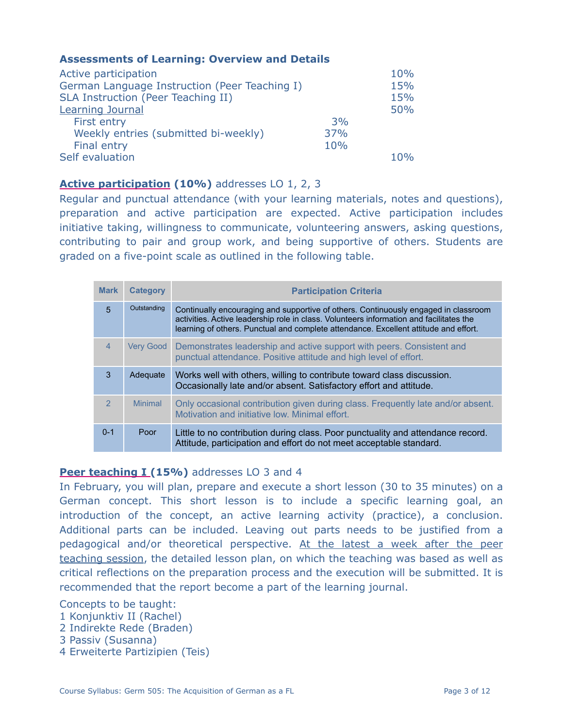# **Assessments of Learning: Overview and Details**

| Active participation                          |     | 10% |
|-----------------------------------------------|-----|-----|
| German Language Instruction (Peer Teaching I) |     | 15% |
| SLA Instruction (Peer Teaching II)            |     | 15% |
| <b>Learning Journal</b>                       |     | 50% |
| First entry                                   | 3%  |     |
| Weekly entries (submitted bi-weekly)          | 37% |     |
| Final entry                                   | 10% |     |
| Self evaluation                               |     | 10% |

# **Active participation (10%)** addresses LO 1, 2, 3

Regular and punctual attendance (with your learning materials, notes and questions), preparation and active participation are expected. Active participation includes initiative taking, willingness to communicate, volunteering answers, asking questions, contributing to pair and group work, and being supportive of others. Students are graded on a five-point scale as outlined in the following table.

| <b>Mark</b>    | <b>Category</b>  | <b>Participation Criteria</b>                                                                                                                                                                                                                                          |
|----------------|------------------|------------------------------------------------------------------------------------------------------------------------------------------------------------------------------------------------------------------------------------------------------------------------|
| $\overline{5}$ | Outstanding      | Continually encouraging and supportive of others. Continuously engaged in classroom<br>activities. Active leadership role in class. Volunteers information and facilitates the<br>learning of others. Punctual and complete attendance. Excellent attitude and effort. |
| $\overline{4}$ | <b>Very Good</b> | Demonstrates leadership and active support with peers. Consistent and<br>punctual attendance. Positive attitude and high level of effort.                                                                                                                              |
| 3              | Adequate         | Works well with others, willing to contribute toward class discussion.<br>Occasionally late and/or absent. Satisfactory effort and attitude.                                                                                                                           |
| $\overline{2}$ | <b>Minimal</b>   | Only occasional contribution given during class. Frequently late and/or absent.<br>Motivation and initiative low. Minimal effort.                                                                                                                                      |
| $0 - 1$        | Poor             | Little to no contribution during class. Poor punctuality and attendance record.<br>Attitude, participation and effort do not meet acceptable standard.                                                                                                                 |

# **Peer teaching I (15%)** addresses LO 3 and 4

In February, you will plan, prepare and execute a short lesson (30 to 35 minutes) on a German concept. This short lesson is to include a specific learning goal, an introduction of the concept, an active learning activity (practice), a conclusion. Additional parts can be included. Leaving out parts needs to be justified from a pedagogical and/or theoretical perspective. At the latest a week after the peer teaching session, the detailed lesson plan, on which the teaching was based as well as critical reflections on the preparation process and the execution will be submitted. It is recommended that the report become a part of the learning journal.

## Concepts to be taught:

- 1 Konjunktiv II (Rachel)
- 2 Indirekte Rede (Braden)
- 3 Passiv (Susanna)
- 4 Erweiterte Partizipien (Teis)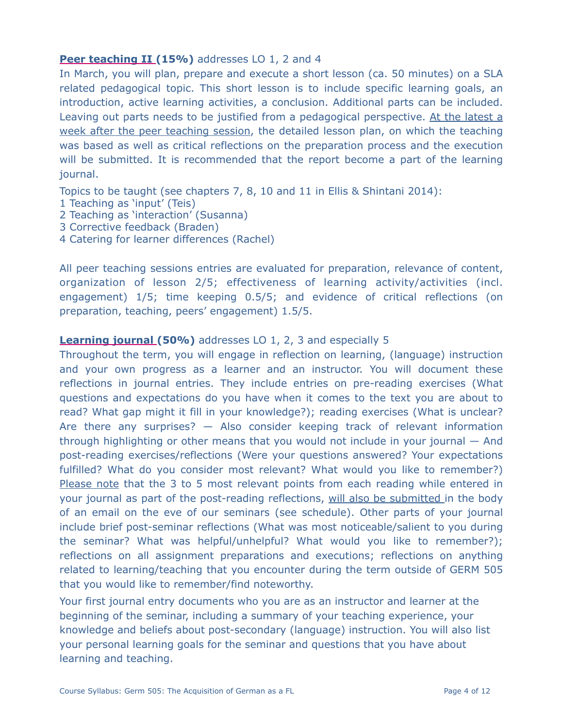# **Peer teaching II (15%)** addresses LO 1, 2 and 4

In March, you will plan, prepare and execute a short lesson (ca. 50 minutes) on a SLA related pedagogical topic. This short lesson is to include specific learning goals, an introduction, active learning activities, a conclusion. Additional parts can be included. Leaving out parts needs to be justified from a pedagogical perspective. At the latest a week after the peer teaching session, the detailed lesson plan, on which the teaching was based as well as critical reflections on the preparation process and the execution will be submitted. It is recommended that the report become a part of the learning journal.

Topics to be taught (see chapters 7, 8, 10 and 11 in Ellis & Shintani 2014):

- 1 Teaching as 'input' (Teis)
- 2 Teaching as 'interaction' (Susanna)
- 3 Corrective feedback (Braden)
- 4 Catering for learner differences (Rachel)

All peer teaching sessions entries are evaluated for preparation, relevance of content, organization of lesson 2/5; effectiveness of learning activity/activities (incl. engagement) 1/5; time keeping 0.5/5; and evidence of critical reflections (on preparation, teaching, peers' engagement) 1.5/5.

## **Learning journal (50%)** addresses LO 1, 2, 3 and especially 5

Throughout the term, you will engage in reflection on learning, (language) instruction and your own progress as a learner and an instructor. You will document these reflections in journal entries. They include entries on pre-reading exercises (What questions and expectations do you have when it comes to the text you are about to read? What gap might it fill in your knowledge?); reading exercises (What is unclear? Are there any surprises? — Also consider keeping track of relevant information through highlighting or other means that you would not include in your journal — And post-reading exercises/reflections (Were your questions answered? Your expectations fulfilled? What do you consider most relevant? What would you like to remember?) Please note that the 3 to 5 most relevant points from each reading while entered in your journal as part of the post-reading reflections, will also be submitted in the body of an email on the eve of our seminars (see schedule). Other parts of your journal include brief post-seminar reflections (What was most noticeable/salient to you during the seminar? What was helpful/unhelpful? What would you like to remember?); reflections on all assignment preparations and executions; reflections on anything related to learning/teaching that you encounter during the term outside of GERM 505 that you would like to remember/find noteworthy.

Your first journal entry documents who you are as an instructor and learner at the beginning of the seminar, including a summary of your teaching experience, your knowledge and beliefs about post-secondary (language) instruction. You will also list your personal learning goals for the seminar and questions that you have about learning and teaching.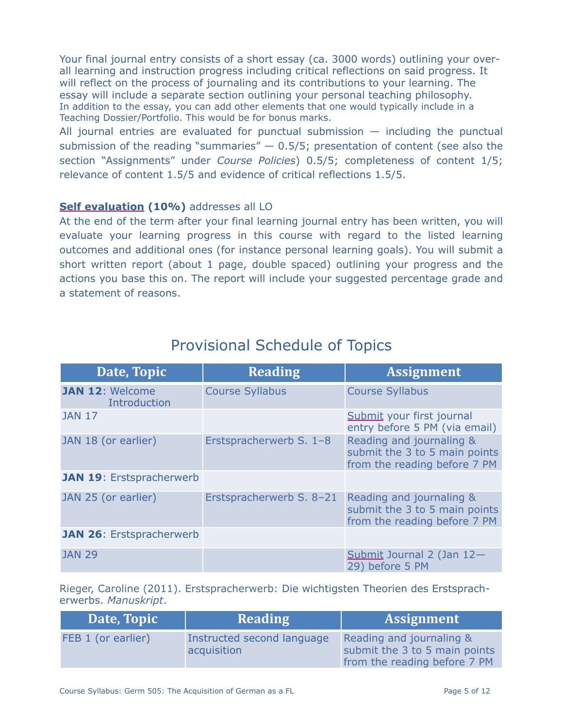Your final journal entry consists of a short essay (ca. 3000 words) outlining your overall learning and instruction progress including critical reflections on said progress. It will reflect on the process of journaling and its contributions to your learning. The essay will include a separate section outlining your personal teaching philosophy. In addition to the essay, you can add other elements that one would typically include in a Teaching Dossier/Portfolio. This would be for bonus marks.

All journal entries are evaluated for punctual submission  $-$  including the punctual submission of the reading "summaries"  $-$  0.5/5; presentation of content (see also the section "Assignments" under *Course Policies*) 0.5/5; completeness of content 1/5; relevance of content 1.5/5 and evidence of critical reflections 1.5/5.

# **Self evaluation (10%)** addresses all LO

At the end of the term after your final learning journal entry has been written, you will evaluate your learning progress in this course with regard to the listed learning outcomes and additional ones (for instance personal learning goals). You will submit a short written report (about 1 page, double spaced) outlining your progress and the actions you base this on. The report will include your suggested percentage grade and a statement of reasons.

| Date, Topic                            | <b>Reading</b>           | <b>Assignment</b>                                                                         |
|----------------------------------------|--------------------------|-------------------------------------------------------------------------------------------|
| <b>JAN 12: Welcome</b><br>Introduction | <b>Course Syllabus</b>   | <b>Course Syllabus</b>                                                                    |
| <b>JAN 17</b>                          |                          | Submit your first journal<br>entry before 5 PM (via email)                                |
| JAN 18 (or earlier)                    | Erstspracherwerb S. 1-8  | Reading and journaling &<br>submit the 3 to 5 main points<br>from the reading before 7 PM |
| <b>JAN 19: Erstspracherwerb</b>        |                          |                                                                                           |
| JAN 25 (or earlier)                    | Erstspracherwerb S. 8-21 | Reading and journaling &<br>submit the 3 to 5 main points<br>from the reading before 7 PM |
| <b>JAN 26: Erstspracherwerb</b>        |                          |                                                                                           |
| <b>JAN 29</b>                          |                          | Submit Journal 2 (Jan 12-<br>29) before 5 PM                                              |

# Provisional Schedule of Topics

Rieger, Caroline (2011). Erstspracherwerb: Die wichtigsten Theorien des Erstspracherwerbs. *Manuskript*.

| Date, Topic        | <b>Reading</b>                            | <b>Assignment</b>                                                                         |
|--------------------|-------------------------------------------|-------------------------------------------------------------------------------------------|
| FEB 1 (or earlier) | Instructed second language<br>acquisition | Reading and journaling &<br>submit the 3 to 5 main points<br>from the reading before 7 PM |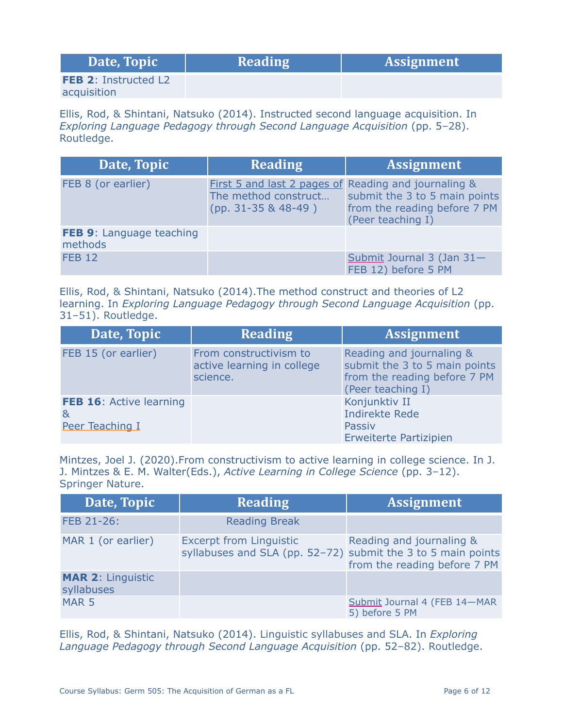| Date, Topic                 | <b>Reading</b> | <b>Assignment</b> |
|-----------------------------|----------------|-------------------|
| <b>FEB 2: Instructed L2</b> |                |                   |
| acquisition                 |                |                   |

Ellis, Rod, & Shintani, Natsuko (2014). Instructed second language acquisition. In *Exploring Language Pedagogy through Second Language Acquisition* (pp. 5–28). Routledge.

| Date, Topic                         | <b>Reading</b>                                                                                        | <b>Assignment</b>                                                                  |
|-------------------------------------|-------------------------------------------------------------------------------------------------------|------------------------------------------------------------------------------------|
| FEB 8 (or earlier)                  | First 5 and last 2 pages of Reading and journaling &<br>The method construct<br>$(pp. 31-35 & 48-49)$ | submit the 3 to 5 main points<br>from the reading before 7 PM<br>(Peer teaching I) |
| FEB 9: Language teaching<br>methods |                                                                                                       |                                                                                    |
| <b>FEB 12</b>                       |                                                                                                       | Submit Journal 3 (Jan 31-<br>FEB 12) before 5 PM                                   |

Ellis, Rod, & Shintani, Natsuko (2014).The method construct and theories of L2 learning. In *Exploring Language Pedagogy through Second Language Acquisition* (pp. 31–51). Routledge.

| Date, Topic                                     | <b>Reading</b>                                                   | <b>Assignment</b>                                                                                              |
|-------------------------------------------------|------------------------------------------------------------------|----------------------------------------------------------------------------------------------------------------|
| FEB 15 (or earlier)                             | From constructivism to<br>active learning in college<br>science. | Reading and journaling &<br>submit the 3 to 5 main points<br>from the reading before 7 PM<br>(Peer teaching I) |
| FEB 16: Active learning<br>&<br>Peer Teaching I |                                                                  | Konjunktiv II<br><b>Indirekte Rede</b><br>Passiv<br>Erweiterte Partizipien                                     |

Mintzes, Joel J. (2020).From constructivism to active learning in college science. In J. J. Mintzes & E. M. Walter(Eds.), *Active Learning in College Science* (pp. 3–12). Springer Nature.

| Date, Topic                            | <b>Reading</b>                                                                                 | <b>Assignment</b>                                        |
|----------------------------------------|------------------------------------------------------------------------------------------------|----------------------------------------------------------|
| FEB 21-26:                             | <b>Reading Break</b>                                                                           |                                                          |
| MAR 1 (or earlier)                     | <b>Excerpt from Linguistic</b><br>syllabuses and SLA (pp. 52-72) submit the 3 to 5 main points | Reading and journaling &<br>from the reading before 7 PM |
| <b>MAR 2: Linguistic</b><br>syllabuses |                                                                                                |                                                          |
| MAR <sub>5</sub>                       |                                                                                                | Submit Journal 4 (FEB 14-MAR<br>5) before 5 PM           |

Ellis, Rod, & Shintani, Natsuko (2014). Linguistic syllabuses and SLA. In *Exploring Language Pedagogy through Second Language Acquisition* (pp. 52–82). Routledge.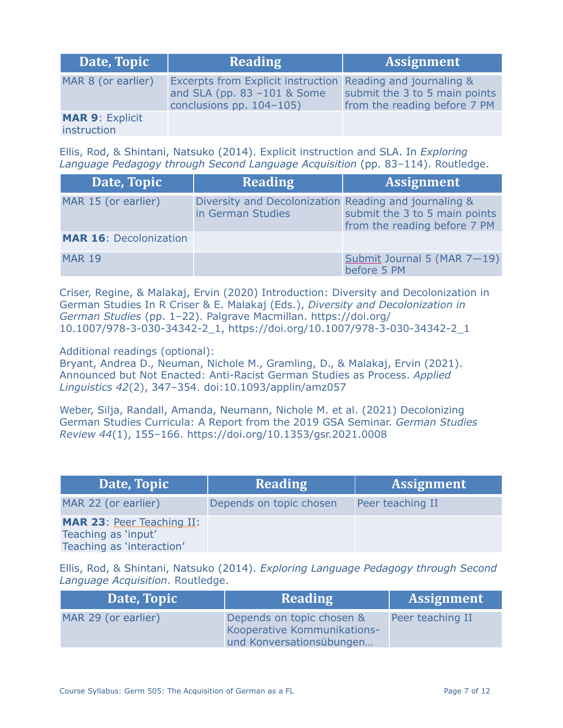| Date, Topic                           | <b>Reading</b>                                                                                                            | <b>Assignment</b>                                             |
|---------------------------------------|---------------------------------------------------------------------------------------------------------------------------|---------------------------------------------------------------|
| MAR 8 (or earlier)                    | Excerpts from Explicit instruction Reading and journaling &<br>and SLA (pp. $83 - 101$ & Some<br>conclusions pp. 104-105) | submit the 3 to 5 main points<br>from the reading before 7 PM |
| <b>MAR 9: Explicit</b><br>instruction |                                                                                                                           |                                                               |

Ellis, Rod, & Shintani, Natsuko (2014). Explicit instruction and SLA. In *Exploring Language Pedagogy through Second Language Acquisition* (pp. 83–114). Routledge.

| Date, Topic                   | <b>Reading</b>                                                             | <b>Assignment</b>                                             |
|-------------------------------|----------------------------------------------------------------------------|---------------------------------------------------------------|
| MAR 15 (or earlier)           | Diversity and Decolonization Reading and journaling &<br>in German Studies | submit the 3 to 5 main points<br>from the reading before 7 PM |
| <b>MAR 16: Decolonization</b> |                                                                            |                                                               |
| <b>MAR 19</b>                 |                                                                            | Submit Journal 5 (MAR 7-19)<br>before 5 PM                    |

Criser, Regine, & Malakaj, Ervin (2020) Introduction: Diversity and Decolonization in German Studies In R Criser & E. Malakaj (Eds.), *Diversity and Decolonization in German Studies* (pp. 1–22). Palgrave Macmillan. https://doi.org/ 10.1007/978-3-030-34342-2\_1, https://doi.org/10.1007/978-3-030-34342-2\_1

Additional readings (optional):

Bryant, Andrea D., Neuman, Nichole M., Gramling, D., & Malakaj, Ervin (2021). Announced but Not Enacted: Anti-Racist German Studies as Process. *Applied Linguistics 42*(2), 347–354. doi:10.1093/applin/amz057

Weber, Silja, Randall, Amanda, Neumann, Nichole M. et al. (2021) Decolonizing German Studies Curricula: A Report from the 2019 GSA Seminar. *German Studies Review 44*(1), 155–166. https://doi.org/10.1353/gsr.2021.0008

| Date, Topic                                                                          | <b>Reading</b>          | <b>Assignment</b> |
|--------------------------------------------------------------------------------------|-------------------------|-------------------|
| MAR 22 (or earlier)                                                                  | Depends on topic chosen | Peer teaching II  |
| <b>MAR 23: Peer Teaching II:</b><br>Teaching as 'input'<br>Teaching as 'interaction' |                         |                   |

Ellis, Rod, & Shintani, Natsuko (2014). *Exploring Language Pedagogy through Second Language Acquisition*. Routledge.

| Date, Topic         | <b>Reading</b>                                                                       | <b>Assignment</b> |
|---------------------|--------------------------------------------------------------------------------------|-------------------|
| MAR 29 (or earlier) | Depends on topic chosen &<br>Kooperative Kommunikations-<br>und Konversationsübungen | Peer teaching II  |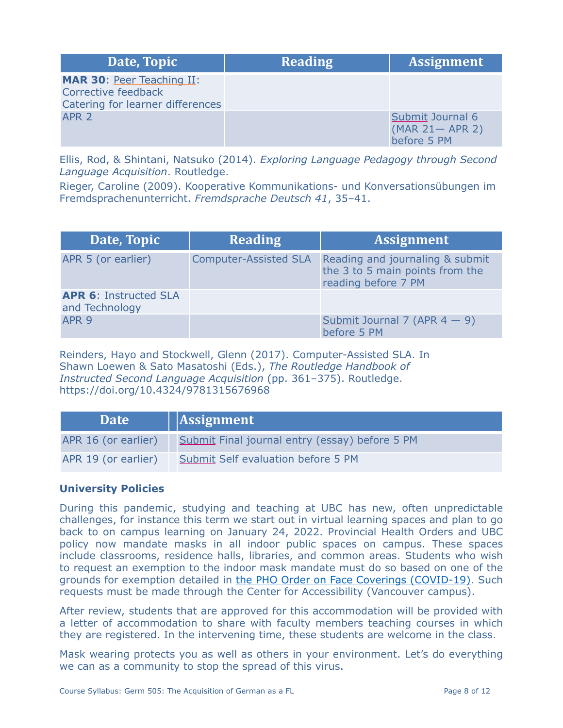| Date, Topic                                                                                 | <b>Reading</b> | <b>Assignment</b>                                     |
|---------------------------------------------------------------------------------------------|----------------|-------------------------------------------------------|
| <b>MAR 30: Peer Teaching II:</b><br>Corrective feedback<br>Catering for learner differences |                |                                                       |
| APR <sub>2</sub>                                                                            |                | Submit Journal 6<br>$(MAR 21 - APR 2)$<br>before 5 PM |

Ellis, Rod, & Shintani, Natsuko (2014). *Exploring Language Pedagogy through Second Language Acquisition*. Routledge.

Rieger, Caroline (2009). Kooperative Kommunikations- und Konversationsübungen im Fremdsprachenunterricht. *Fremdsprache Deutsch 41*, 35–41.

| Date, Topic                                    | <b>Reading</b>               | <b>Assignment</b>                                                                         |
|------------------------------------------------|------------------------------|-------------------------------------------------------------------------------------------|
| APR 5 (or earlier)                             | <b>Computer-Assisted SLA</b> | Reading and journaling & submit<br>the 3 to 5 main points from the<br>reading before 7 PM |
| <b>APR 6: Instructed SLA</b><br>and Technology |                              |                                                                                           |
| APR <sub>9</sub>                               |                              | Submit Journal 7 (APR $4 - 9$ )<br>before 5 PM                                            |

Reinders, Hayo and Stockwell, Glenn (2017). Computer-Assisted SLA. In Shawn Loewen & Sato Masatoshi (Eds.), *The Routledge Handbook of Instructed Second Language Acquisition* (pp. 361–375). Routledge. https://doi.org/10.4324/9781315676968

| Date <sup>1</sup>   | $\vert$ Assignment                             |
|---------------------|------------------------------------------------|
| APR 16 (or earlier) | Submit Final journal entry (essay) before 5 PM |
| APR 19 (or earlier) | Submit Self evaluation before 5 PM             |

# **University Policies**

During this pandemic, studying and teaching at UBC has new, often unpredictable challenges, for instance this term we start out in virtual learning spaces and plan to go back to on campus learning on January 24, 2022. Provincial Health Orders and UBC policy now mandate masks in all indoor public spaces on campus. These spaces include classrooms, residence halls, libraries, and common areas. Students who wish to request an exemption to the indoor mask mandate must do so based on one of the grounds for exemption detailed in [the PHO Order on Face Coverings \(COVID-19\)](https://www2.gov.bc.ca/assets/gov/health/about-bc-s-health-care-system/office-of-the-provincial-health-officer/covid-19/covid-19-pho-order-face-coverings.pdf). Such requests must be made through the Center for Accessibility (Vancouver campus).

After review, students that are approved for this accommodation will be provided with a letter of accommodation to share with faculty members teaching courses in which they are registered. In the intervening time, these students are welcome in the class.

Mask wearing protects you as well as others in your environment. Let's do everything we can as a community to stop the spread of this virus.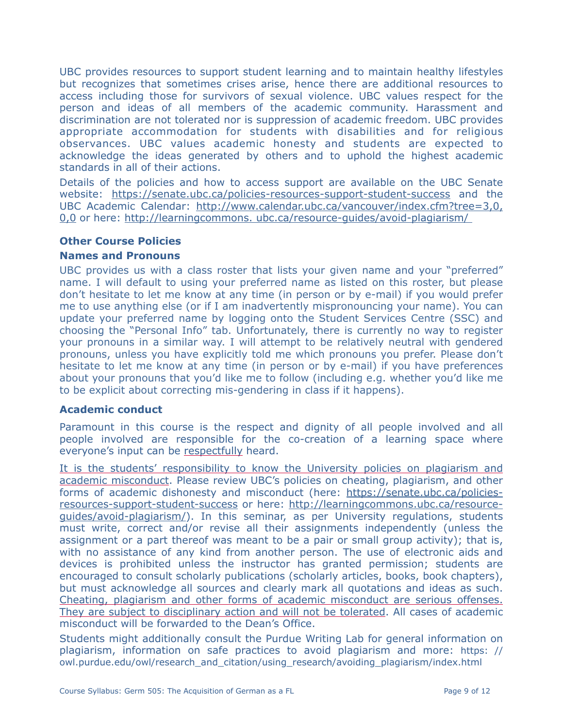UBC provides resources to support student learning and to maintain healthy lifestyles but recognizes that sometimes crises arise, hence there are additional resources to access including those for survivors of sexual violence. UBC values respect for the person and ideas of all members of the academic community. Harassment and discrimination are not tolerated nor is suppression of academic freedom. UBC provides appropriate accommodation for students with disabilities and for religious observances. UBC values academic honesty and students are expected to acknowledge the ideas generated by others and to uphold the highest academic standards in all of their actions.

Details of the policies and how to access support are available on [the UBC Senate](https://senate.ubc.ca/policies-resources-support-student-success) [website](https://senate.ubc.ca/policies-resources-support-student-success): https://senate.ubc.ca/policies-resources-support-student-success and the UBC Academic Calendar: http://www.calendar.ubc.ca/vancouver/index.cfm?tree=3,0, 0,0 or here: http://learningcommons. ubc.ca/resource-guides/avoid-plagiarism/

# **Other Course Policies**

# **Names and Pronouns**

UBC provides us with a class roster that lists your given name and your "preferred" name. I will default to using your preferred name as listed on this roster, but please don't hesitate to let me know at any time (in person or by e-mail) if you would prefer me to use anything else (or if I am inadvertently mispronouncing your name). You can update your preferred name by logging onto the Student Services Centre (SSC) and choosing the "Personal Info" tab. Unfortunately, there is currently no way to register your pronouns in a similar way. I will attempt to be relatively neutral with gendered pronouns, unless you have explicitly told me which pronouns you prefer. Please don't hesitate to let me know at any time (in person or by e-mail) if you have preferences about your pronouns that you'd like me to follow (including e.g. whether you'd like me to be explicit about correcting mis-gendering in class if it happens).

## **Academic conduct**

Paramount in this course is the respect and dignity of all people involved and all people involved are responsible for the co-creation of a learning space where everyone's input can be respectfully heard.

It is the students' responsibility to know the University policies on plagiarism and academic misconduct. Please review UBC's policies on cheating, plagiarism, and other forms of academic dishonesty and misconduct (here: https://senate.ubc.ca/policiesresources-support-student-success or here: http://learningcommons.ubc.ca/resourceguides/avoid-plagiarism/). In this seminar, as per University regulations, students must write, correct and/or revise all their assignments independently (unless the assignment or a part thereof was meant to be a pair or small group activity); that is, with no assistance of any kind from another person. The use of electronic aids and devices is prohibited unless the instructor has granted permission; students are encouraged to consult scholarly publications (scholarly articles, books, book chapters), but must acknowledge all sources and clearly mark all quotations and ideas as such. Cheating, plagiarism and other forms of academic misconduct are serious offenses. They are subject to disciplinary action and will not be tolerated. All cases of academic misconduct will be forwarded to the Dean's Office.

Students might additionally consult the Purdue Writing Lab for general information on plagiarism, information on safe practices to avoid plagiarism and more: https: // owl.purdue.edu/owl/research\_and\_citation/using\_research/avoiding\_plagiarism/index.html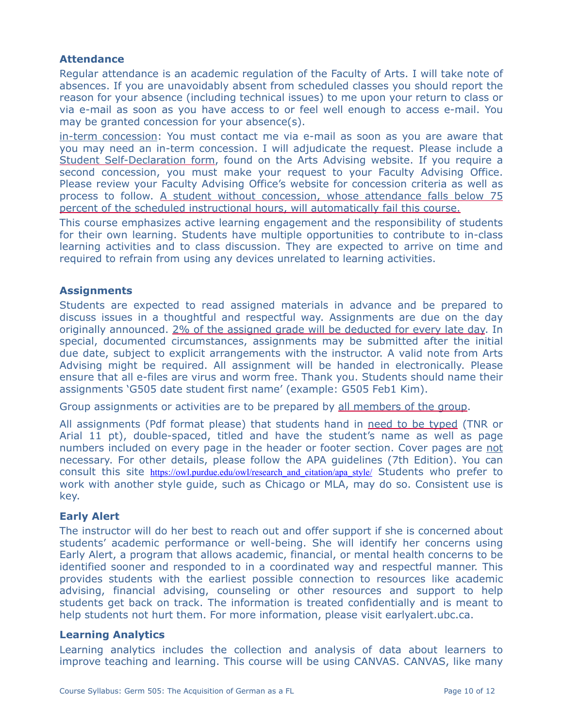# **Attendance**

Regular attendance is an academic regulation of the Faculty of Arts. I will take note of absences. If you are unavoidably absent from scheduled classes you should report the reason for your absence (including technical issues) to me upon your return to class or via e-mail as soon as you have access to or feel well enough to access e-mail. You may be granted concession for your absence(s).

[in-term concession](http://www.calendar.ubc.ca/vancouver/index.cfm?tree=3,329,0,0#26592): You must contact me via e-mail as soon as you are aware that you may need an [in-term concession.](http://www.calendar.ubc.ca/vancouver/index.cfm?tree=3,329,0,0#26592) I will adjudicate the request. Please include a Student Self-Declaration form, found on the [Arts Advising website.](https://students.arts.ubc.ca/advising/academic-performance/help-academic-concession/) If you require a second concession, you must make your request to your Faculty Advising Office. Please review your Faculty Advising Office's website for concession criteria as well as process to follow. A student without concession, whose attendance falls below 75 percent of the scheduled instructional hours, will automatically fail this course.

This course emphasizes active learning engagement and the responsibility of students for their own learning. Students have multiple opportunities to contribute to in-class learning activities and to class discussion. They are expected to arrive on time and required to refrain from using any devices unrelated to learning activities.

## **Assignments**

Students are expected to read assigned materials in advance and be prepared to discuss issues in a thoughtful and respectful way. Assignments are due on the day originally announced. 2% of the assigned grade will be deducted for every late day. In special, documented circumstances, assignments may be submitted after the initial due date, subject to explicit arrangements with the instructor. A valid note from Arts Advising might be required. All assignment will be handed in electronically. Please ensure that all e-files are virus and worm free. Thank you. Students should name their assignments 'G505 date student first name' (example: G505 Feb1 Kim).

Group assignments or activities are to be prepared by all members of the group.

All assignments (Pdf format please) that students hand in need to be typed (TNR or Arial 11 pt), double-spaced, titled and have the student's name as well as page numbers included on every page in the header or footer section. Cover pages are not necessary. For other details, please follow the APA guidelines (7th Edition). You can consult this site https://owl.purdue.edu/owl/research and citation/apa\_style/ Students who prefer to work with another style guide, such as Chicago or MLA, may do so. Consistent use is key.

## **Early Alert**

The instructor will do her best to reach out and offer support if she is concerned about students' academic performance or well-being. She will identify her concerns using Early Alert, a program that allows academic, financial, or mental health concerns to be identified sooner and responded to in a coordinated way and respectful manner. This provides students with the earliest possible connection to resources like academic advising, financial advising, counseling or other resources and support to help students get back on track. The information is treated confidentially and is meant to help students not hurt them. For more information, please visit earlyalert.ubc.ca.

## **Learning Analytics**

Learning analytics includes the collection and analysis of data about learners to improve teaching and learning. This course will be using CANVAS. CANVAS, like many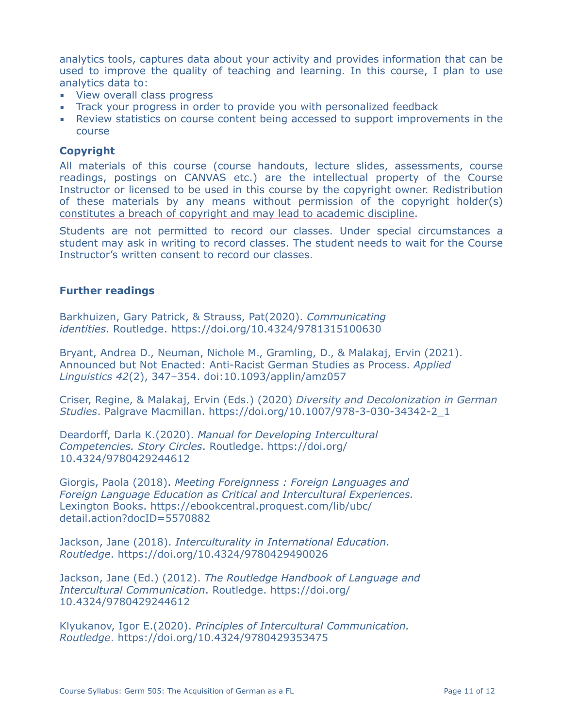analytics tools, captures data about your activity and provides information that can be used to improve the quality of teaching and learning. In this course, I plan to use analytics data to:

- **EXECUTE:** View overall class progress
- **Track your progress in order to provide you with personalized feedback**
- **EXECT** Review statistics on course content being accessed to support improvements in the course

#### **Copyright**

All materials of this course (course handouts, lecture slides, assessments, course readings, postings on CANVAS etc.) are the intellectual property of the Course Instructor or licensed to be used in this course by the copyright owner. Redistribution of these materials by any means without permission of the copyright holder(s) constitutes a breach of copyright and may lead to academic discipline.

Students are not permitted to record our classes. Under special circumstances a student may ask in writing to record classes. The student needs to wait for the Course Instructor's written consent to record our classes.

#### **Further readings**

Barkhuizen, Gary Patrick, & Strauss, Pat(2020). *Communicating identities*. Routledge. https://doi.org/10.4324/9781315100630

Bryant, Andrea D., Neuman, Nichole M., Gramling, D., & Malakaj, Ervin (2021). Announced but Not Enacted: Anti-Racist German Studies as Process. *Applied Linguistics 42*(2), 347–354. doi:10.1093/applin/amz057

Criser, Regine, & Malakaj, Ervin (Eds.) (2020) *Diversity and Decolonization in German Studies*. Palgrave Macmillan. https://doi.org/10.1007/978-3-030-34342-2\_1

Deardorff, Darla K.(2020). *Manual for Developing Intercultural Competencies. Story Circles*. Routledge. https://doi.org/ 10.4324/9780429244612

Giorgis, Paola (2018). *Meeting Foreignness : Foreign Languages and Foreign Language Education as Critical and Intercultural Experiences.* Lexington Books. https://ebookcentral.proquest.com/lib/ubc/ detail.action?docID=5570882

Jackson, Jane (2018). *Interculturality in International Education. Routledge*. https://doi.org/10.4324/9780429490026

Jackson, Jane (Ed.) (2012). *The Routledge Handbook of Language and Intercultural Communication*. Routledge. https://doi.org/ 10.4324/9780429244612

Klyukanov, Igor E.(2020). *Principles of Intercultural Communication. Routledge*. https://doi.org/10.4324/9780429353475